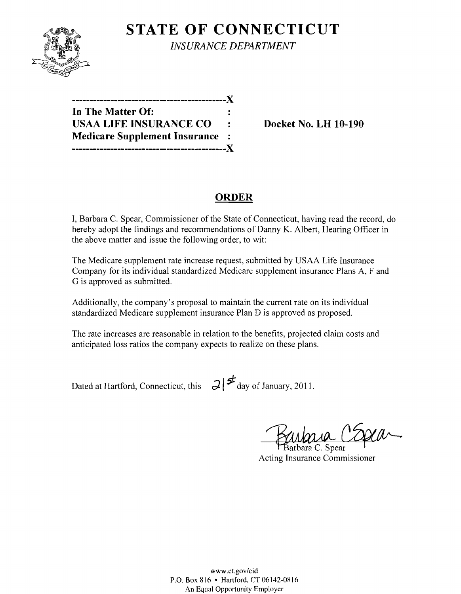

**STATE OF CONNECTICUT** *INSURANCE DEPARTMENT* 

| -----------------------------X        |   |
|---------------------------------------|---|
| In The Matter Of:                     |   |
| <b>USAA LIFE INSURANCE CO</b>         | ٠ |
| <b>Medicare Supplement Insurance:</b> |   |
|                                       |   |

**Docket No. LH 10-190** 

# **ORDER**

I, Barbara C. Spear, Commissioner of the State of Connecticut, having read the record, do hereby adopt the findings and recommendations of Danny K. Albert, Hearing Officer in the above matter and issue the following order, to wit:

The Medicare supplement rate increase request, submitted by USAA Life Insurance Company for its individual standardized Medicare supplement insurance Plans A, F and G is approved as submitted.

Additionally, the company's proposal to maintain the current rate on its individual standardized Medicare supplement insurance Plan D is approved as proposed.

The rate increases are reasonable in relation to the benefits, projected claim costs and anticipated loss ratios the company expects to realize on these plans.

Dated at Hartford, Connecticut, this  $\partial$   $\sharp$  day of January, 2011.

ara Cosca

arbara C. Spear Acting Insurance Commissioner

www.ct.gov/cid P.O. Box 816 • Hartford, CT06142-0816 An Equal Opportunity Employer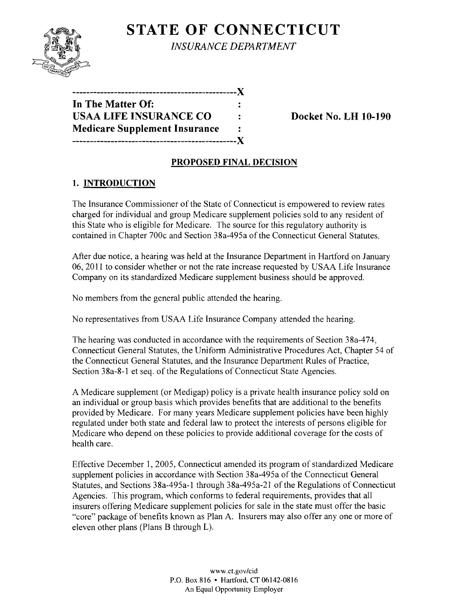

**STATE OF CONNECTICUT** *INSURANCE DEPARIMENT* 

**-----------------------------------------------){ In The Matter Of:**  USAA LIFE INSURANCE CO **Property** Contact No. LH 10-190 **Medicare Supplement Insurance -----------------------------------------------){** 

### **PROPOSED FINAL DECISION**

# **1. INTRODUCTION**

The Insurance Commissioner of the State of Connecticut is empowered to review rates charged for individual and group Medicare supplement policies sold to any resident of this State who is eligible for Medicare. The source for this regulatory authority is contained in Chapter 700c and Section 38a-495a of the Connecticut General Statutes.

After due notice, a hearing was held at the Insurance Department in Hartford on January 06, 2011 to consider whether or not the rate increase requested by USAA Life Insurance Company on its standardized Medicare supplement business should be approved.

No members from the general public attended the hearing.

No representatives from USAA Life Insurance Company attended the hearing.

The hearing was conducted in accordance with the requirements of Section 38a-474, Connecticut General Statutes, the Uniform Administrative Procedures Act, Chapter 54 of the Connecticut General Statutes, and the Insurance Department Rules of Practice, Section 38a-8-I et seq. of the Regulations of Connecticut State Agencies.

A Medicare supplement (or Medigap) policy is a private health insurance policy sold on an individual or group basis which provides benefits that are additional to the benefits provided by Medicare. For many years Medicare supplement policies have been highly regulated under both state and federal law to protect the interests of persons eligible for Medicare who depend on these policies to provide additional coverage for the costs of health care.

Effective December 1, 2005, Connecticut amended its program of standardized Medicare supplement policies in accordance with Section 38a-495a of the Connecticut General Statutes, and Sections 38a-495a-I through 38a-495a-21 of the Regulations of Connecticut Agencies. This program, which conforms to federal requirements, provides that all insurers offering Medicare supplement policies for sale in the state must offer the basic "core" package of benefits known as Plan A. Insurers may also offer anyone or more of eleven other plans (Plans B through L).

> www.ct.gov/cid P.O. Box 816 • Hartford. CT 06142-0816 An Equal Opportunity Employer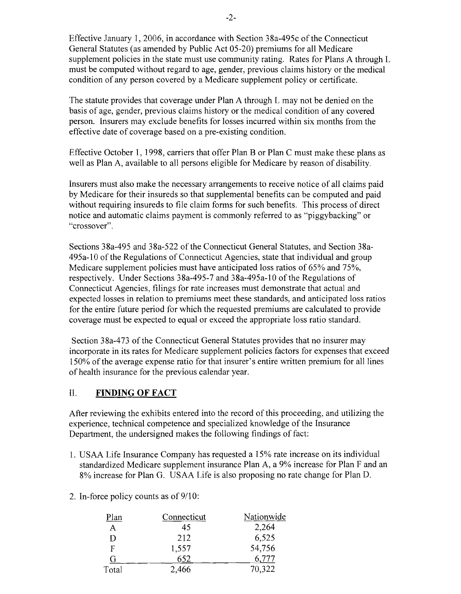Effective January 1, 2006, in accordance with Section 38a-495c of the Connecticut General Statutes (as amended by Public Act 05-20) premiums for all Medicare supplement policies in the state must use community rating. Rates for Plans A through L must be computed without regard to age, gender, previous claims history or the medical condition of any person covered by a Medicare supplement policy or certificate.

The statute provides that coverage under Plan A through L may not be denied on the basis of age, gender, previous claims history or the medical condition of any covered person. Insurers may exclude benefits for losses incurred within six months from the effective date of coverage based on a pre-existing condition.

Effective October 1, 1998, carriers that offer Plan B or Plan C must make these plans as well as Plan A, available to all persons eligible for Medicare by reason of disability.

Insurers must also make the necessary arrangements to receive notice of all claims paid by Medicare for their insureds so that supplemental benefits can be computed and paid without requiring insureds to file claim forms for such benefits. This process of direct notice and automatic claims payment is commonly referred to as "piggybacking" or "crossover".

Sections 38a-495 and 38a-522 of the Connecticut General Statutes, and Section 38a-495a-10 of the Regulations of Connecticut Agencies, state that individual and group Medicare supplement policies must have anticipated loss ratios of 65% and 75%, respectively. Under Sections 38a-495-7 and 38a-495a-1O of the Regulations of Connecticut Agencies, filings for rate increases must demonstrate that actual and expected losses in relation to premiums meet these standards, and anticipated loss ratios for the entire future period for which the requested premiums are calculated to provide coverage must be expected to equal or exceed the appropriate loss ratio standard.

Section 38a-473 of the Connecticut General Statutes provides that no insurer may incorporate in its rates for Medicare supplement policies factors for expenses that exceed 150% of the average expense ratio for that insurer's entire written premium for all lines of health insurance for the previous calendar year.

#### II. **FINDING OF FACT**

After reviewing the exhibits entered into the record of this proceeding, and utilizing the experience, technical competence and specialized knowledge of the Insurance Department, the undersigned makes the following findings of fact:

- 1. USAA Life Insurance Company has requested a 15% rate increase on its individual standardized Medicare supplement insurance Plan A, a 9% increase for Plan F and an 8% increase for Plan G. USAA Life is also proposing no rate change for Plan D.
- 2. In-force policy counts as of  $9/10$ :

| Plan  | Connecticut | Nationwide |
|-------|-------------|------------|
| A     | 45          | 2,264      |
| D     | 212         | 6,525      |
| F     | 1,557       | 54,756     |
| G     | 652         | 6,777      |
| Total | 2,466       | 70,322     |